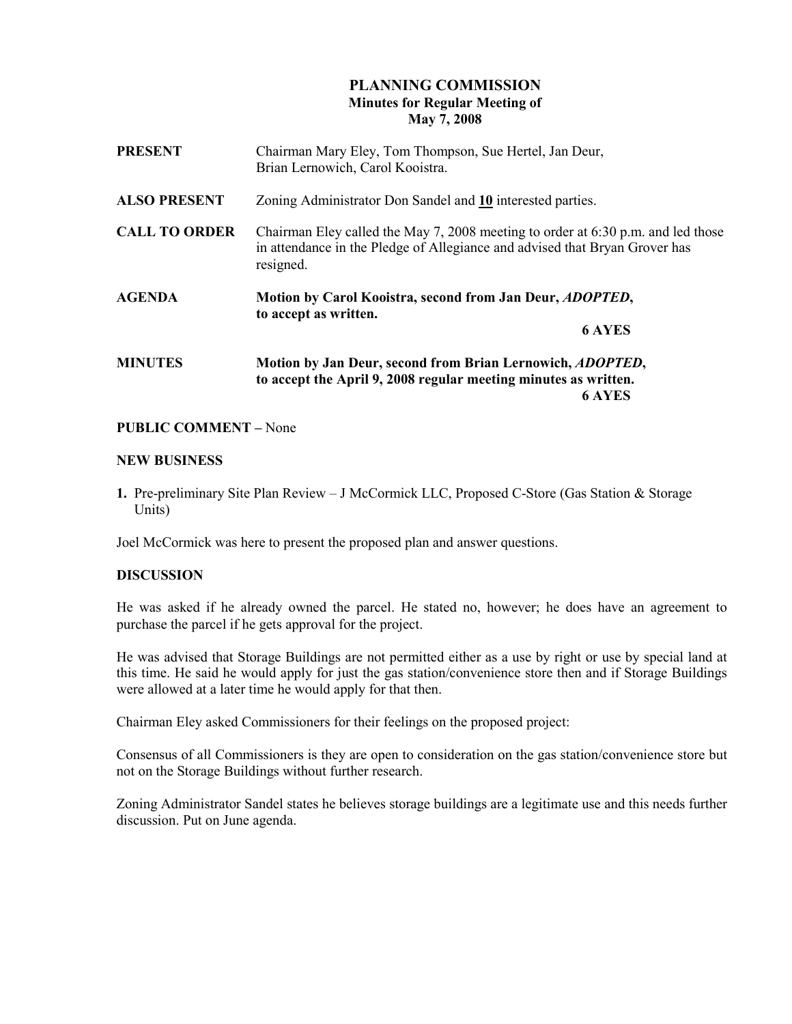# PLANNING COMMISSION Minutes for Regular Meeting of May 7, 2008

| <b>PRESENT</b>       | Chairman Mary Eley, Tom Thompson, Sue Hertel, Jan Deur,<br>Brian Lernowich, Carol Kooistra.                                                                                  |
|----------------------|------------------------------------------------------------------------------------------------------------------------------------------------------------------------------|
| <b>ALSO PRESENT</b>  | Zoning Administrator Don Sandel and 10 interested parties.                                                                                                                   |
| <b>CALL TO ORDER</b> | Chairman Eley called the May 7, 2008 meeting to order at 6:30 p.m. and led those<br>in attendance in the Pledge of Allegiance and advised that Bryan Grover has<br>resigned. |
| <b>AGENDA</b>        | Motion by Carol Kooistra, second from Jan Deur, <i>ADOPTED</i> ,<br>to accept as written.<br>6 AYES                                                                          |
| <b>MINUTES</b>       | Motion by Jan Deur, second from Brian Lernowich, <i>ADOPTED</i> ,<br>to accept the April 9, 2008 regular meeting minutes as written.<br>6 AYES                               |

## PUBLIC COMMENT – None

#### NEW BUSINESS

1. Pre-preliminary Site Plan Review – J McCormick LLC, Proposed C-Store (Gas Station & Storage Units)

Joel McCormick was here to present the proposed plan and answer questions.

#### DISCUSSION

He was asked if he already owned the parcel. He stated no, however; he does have an agreement to purchase the parcel if he gets approval for the project.

He was advised that Storage Buildings are not permitted either as a use by right or use by special land at this time. He said he would apply for just the gas station/convenience store then and if Storage Buildings were allowed at a later time he would apply for that then.

Chairman Eley asked Commissioners for their feelings on the proposed project:

Consensus of all Commissioners is they are open to consideration on the gas station/convenience store but not on the Storage Buildings without further research.

Zoning Administrator Sandel states he believes storage buildings are a legitimate use and this needs further discussion. Put on June agenda.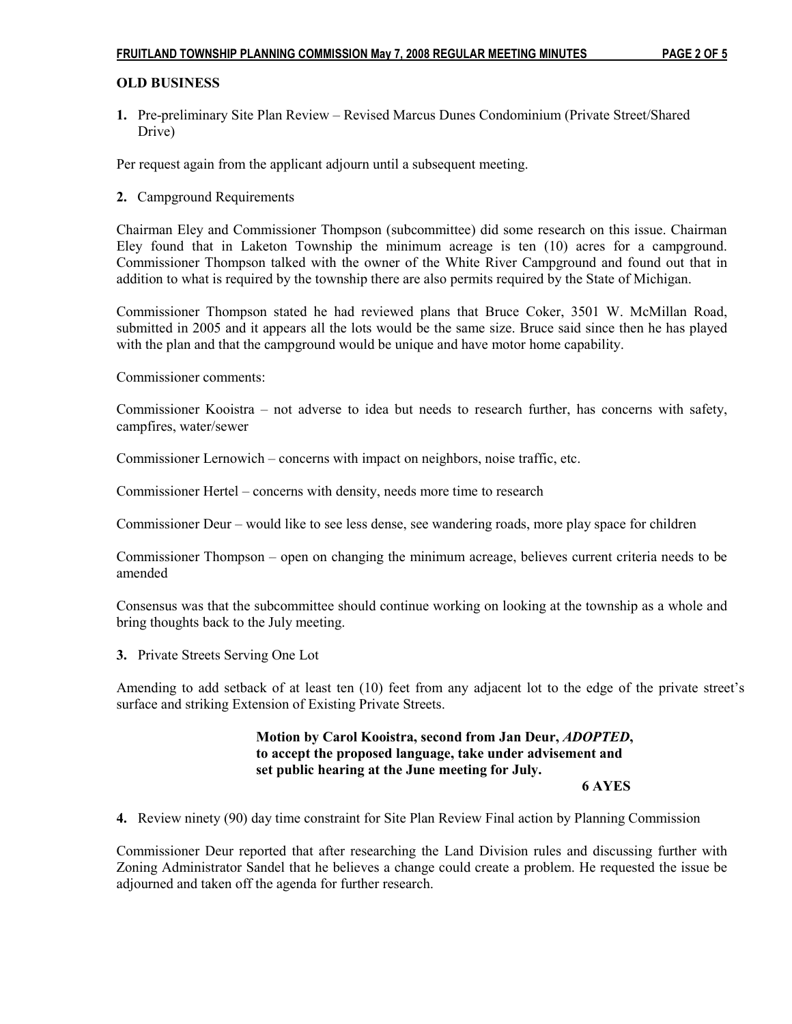# OLD BUSINESS

1. Pre-preliminary Site Plan Review – Revised Marcus Dunes Condominium (Private Street/Shared Drive)

Per request again from the applicant adjourn until a subsequent meeting.

2. Campground Requirements

Chairman Eley and Commissioner Thompson (subcommittee) did some research on this issue. Chairman Eley found that in Laketon Township the minimum acreage is ten (10) acres for a campground. Commissioner Thompson talked with the owner of the White River Campground and found out that in addition to what is required by the township there are also permits required by the State of Michigan.

Commissioner Thompson stated he had reviewed plans that Bruce Coker, 3501 W. McMillan Road, submitted in 2005 and it appears all the lots would be the same size. Bruce said since then he has played with the plan and that the campground would be unique and have motor home capability.

Commissioner comments:

Commissioner Kooistra – not adverse to idea but needs to research further, has concerns with safety, campfires, water/sewer

Commissioner Lernowich – concerns with impact on neighbors, noise traffic, etc.

Commissioner Hertel – concerns with density, needs more time to research

Commissioner Deur – would like to see less dense, see wandering roads, more play space for children

Commissioner Thompson – open on changing the minimum acreage, believes current criteria needs to be amended

Consensus was that the subcommittee should continue working on looking at the township as a whole and bring thoughts back to the July meeting.

3. Private Streets Serving One Lot

Amending to add setback of at least ten (10) feet from any adjacent lot to the edge of the private street's surface and striking Extension of Existing Private Streets.

# Motion by Carol Kooistra, second from Jan Deur, ADOPTED, to accept the proposed language, take under advisement and set public hearing at the June meeting for July.

6 AYES

4. Review ninety (90) day time constraint for Site Plan Review Final action by Planning Commission

Commissioner Deur reported that after researching the Land Division rules and discussing further with Zoning Administrator Sandel that he believes a change could create a problem. He requested the issue be adjourned and taken off the agenda for further research.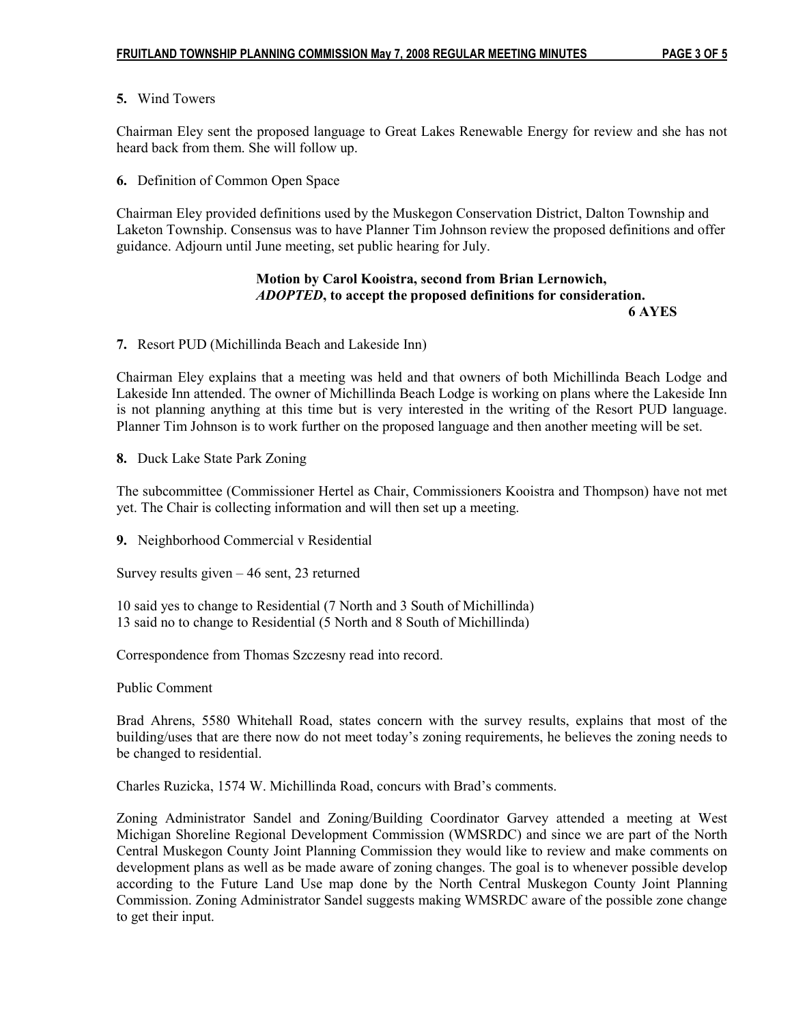## 5. Wind Towers

Chairman Eley sent the proposed language to Great Lakes Renewable Energy for review and she has not heard back from them. She will follow up.

6. Definition of Common Open Space

Chairman Eley provided definitions used by the Muskegon Conservation District, Dalton Township and Laketon Township. Consensus was to have Planner Tim Johnson review the proposed definitions and offer guidance. Adjourn until June meeting, set public hearing for July.

## Motion by Carol Kooistra, second from Brian Lernowich, ADOPTED, to accept the proposed definitions for consideration. 6 AYES

7. Resort PUD (Michillinda Beach and Lakeside Inn)

Chairman Eley explains that a meeting was held and that owners of both Michillinda Beach Lodge and Lakeside Inn attended. The owner of Michillinda Beach Lodge is working on plans where the Lakeside Inn is not planning anything at this time but is very interested in the writing of the Resort PUD language. Planner Tim Johnson is to work further on the proposed language and then another meeting will be set.

8. Duck Lake State Park Zoning

The subcommittee (Commissioner Hertel as Chair, Commissioners Kooistra and Thompson) have not met yet. The Chair is collecting information and will then set up a meeting.

9. Neighborhood Commercial v Residential

Survey results given – 46 sent, 23 returned

10 said yes to change to Residential (7 North and 3 South of Michillinda) 13 said no to change to Residential (5 North and 8 South of Michillinda)

Correspondence from Thomas Szczesny read into record.

Public Comment

Brad Ahrens, 5580 Whitehall Road, states concern with the survey results, explains that most of the building/uses that are there now do not meet today's zoning requirements, he believes the zoning needs to be changed to residential.

Charles Ruzicka, 1574 W. Michillinda Road, concurs with Brad's comments.

Zoning Administrator Sandel and Zoning/Building Coordinator Garvey attended a meeting at West Michigan Shoreline Regional Development Commission (WMSRDC) and since we are part of the North Central Muskegon County Joint Planning Commission they would like to review and make comments on development plans as well as be made aware of zoning changes. The goal is to whenever possible develop according to the Future Land Use map done by the North Central Muskegon County Joint Planning Commission. Zoning Administrator Sandel suggests making WMSRDC aware of the possible zone change to get their input.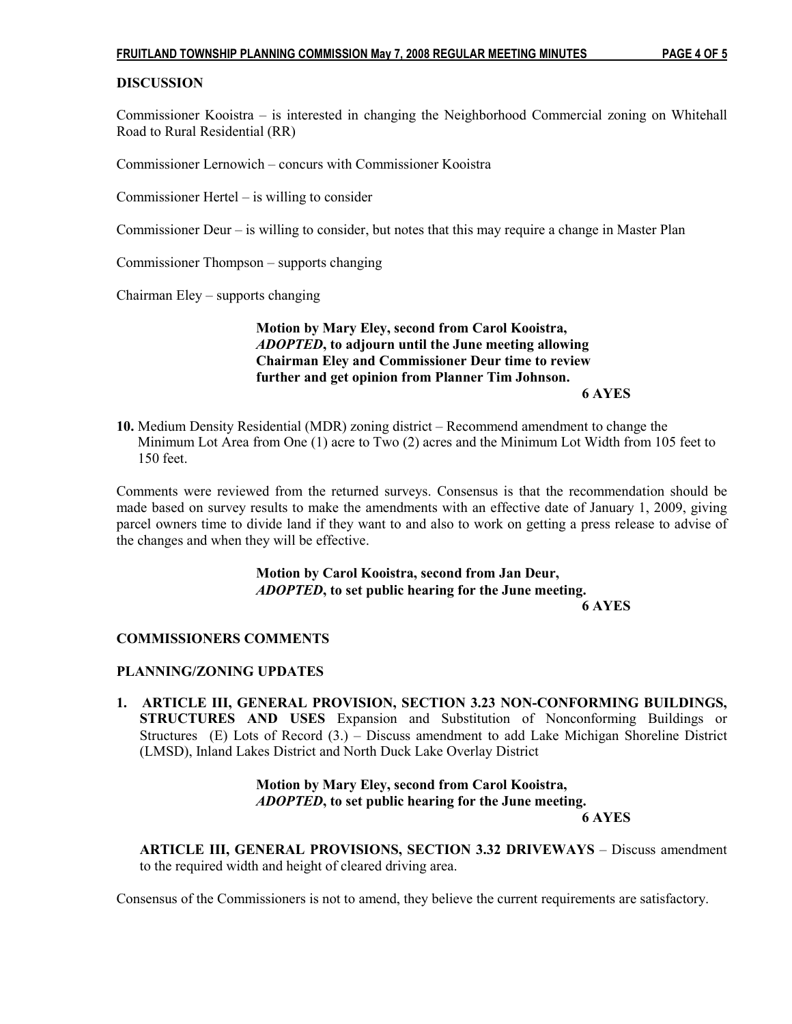#### **DISCUSSION**

Commissioner Kooistra – is interested in changing the Neighborhood Commercial zoning on Whitehall Road to Rural Residential (RR)

Commissioner Lernowich – concurs with Commissioner Kooistra

Commissioner Hertel – is willing to consider

Commissioner Deur – is willing to consider, but notes that this may require a change in Master Plan

Commissioner Thompson – supports changing

Chairman Eley – supports changing

## Motion by Mary Eley, second from Carol Kooistra, ADOPTED, to adjourn until the June meeting allowing Chairman Eley and Commissioner Deur time to review further and get opinion from Planner Tim Johnson. 6 AYES

10. Medium Density Residential (MDR) zoning district – Recommend amendment to change the Minimum Lot Area from One (1) acre to Two (2) acres and the Minimum Lot Width from 105 feet to 150 feet.

Comments were reviewed from the returned surveys. Consensus is that the recommendation should be made based on survey results to make the amendments with an effective date of January 1, 2009, giving parcel owners time to divide land if they want to and also to work on getting a press release to advise of the changes and when they will be effective.

## Motion by Carol Kooistra, second from Jan Deur, ADOPTED, to set public hearing for the June meeting.<br>6 AYES 6 AYES

#### COMMISSIONERS COMMENTS

#### PLANNING/ZONING UPDATES

1. ARTICLE III, GENERAL PROVISION, SECTION 3.23 NON-CONFORMING BUILDINGS, STRUCTURES AND USES Expansion and Substitution of Nonconforming Buildings or Structures (E) Lots of Record (3.) – Discuss amendment to add Lake Michigan Shoreline District (LMSD), Inland Lakes District and North Duck Lake Overlay District

#### Motion by Mary Eley, second from Carol Kooistra, ADOPTED, to set public hearing for the June meeting.

6 AYES

 ARTICLE III, GENERAL PROVISIONS, SECTION 3.32 DRIVEWAYS – Discuss amendment to the required width and height of cleared driving area.

Consensus of the Commissioners is not to amend, they believe the current requirements are satisfactory.